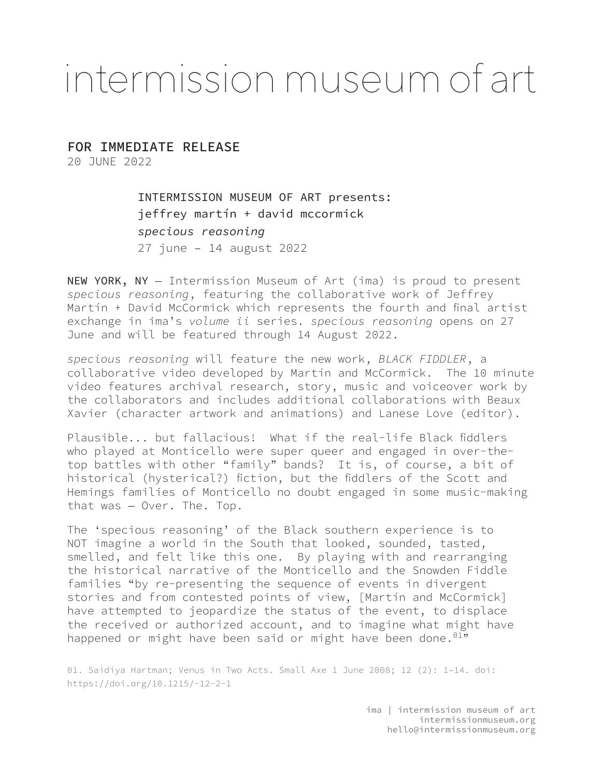## intermission museum of art

## FOR IMMEDIATE RELEASE

20 JUNE 2022

INTERMISSION MUSEUM OF ART presents: jeffrey martín + david mccormick *specious reasoning* 27 june – 14 august 2022

NEW YORK, NY — Intermission Museum of Art (ima) is proud to present *specious reasoning*, featuring the collaborative work of Jeffrey Martín + David McCormick which represents the fourth and final artist exchange in ima's *volume ii* series. *specious reasoning* opens on 27 June and will be featured through 14 August 2022.

*specious reasoning* will feature the new work, *BLACK FIDDLER*, a collaborative video developed by Martín and McCormick. The 10 minute video features archival research, story, music and voiceover work by the collaborators and includes additional collaborations with Beaux Xavier (character artwork and animations) and Lanese Love (editor).

Plausible... but fallacious! What if the real-life Black fiddlers who played at Monticello were super queer and engaged in over-thetop battles with other "family" bands? It is, of course, a bit of historical (hysterical?) fiction, but the fiddlers of the Scott and Hemings families of Monticello no doubt engaged in some music-making that was — Over. The. Top.

The 'specious reasoning' of the Black southern experience is to NOT imagine a world in the South that looked, sounded, tasted, smelled, and felt like this one. By playing with and rearranging the historical narrative of the Monticello and the Snowden Fiddle families "by re-presenting the sequence of events in divergent stories and from contested points of view, [Martín and McCormick] have attempted to jeopardize the status of the event, to displace the received or authorized account, and to imagine what might have happened or might have been said or might have been done.  $01"$ 

01. Saidiya Hartman; Venus in Two Acts. Small Axe 1 June 2008; 12 (2): 1–14. doi: https://doi.org/10.1215/-12-2-1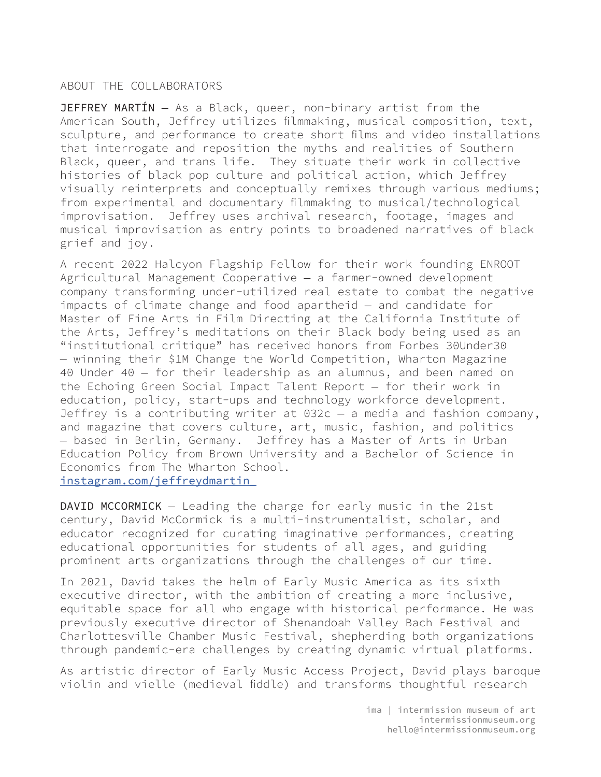## ABOUT THE COLLABORATORS

**JEFFREY MARTÍN** - As a Black, queer, non-binary artist from the American South, Jeffrey utilizes filmmaking, musical composition, text, sculpture, and performance to create short films and video installations that interrogate and reposition the myths and realities of Southern Black, queer, and trans life. They situate their work in collective histories of black pop culture and political action, which Jeffrey visually reinterprets and conceptually remixes through various mediums; from experimental and documentary filmmaking to musical/technological improvisation. Jeffrey uses archival research, footage, images and musical improvisation as entry points to broadened narratives of black grief and joy.

A recent 2022 Halcyon Flagship Fellow for their work founding ENROOT Agricultural Management Cooperative — a farmer-owned development company transforming under-utilized real estate to combat the negative impacts of climate change and food apartheid — and candidate for Master of Fine Arts in Film Directing at the California Institute of the Arts, Jeffrey's meditations on their Black body being used as an "institutional critique" has received honors from Forbes 30Under30 — winning their \$1M Change the World Competition, Wharton Magazine 40 Under 40 — for their leadership as an alumnus, and been named on the Echoing Green Social Impact Talent Report — for their work in education, policy, start-ups and technology workforce development. Jeffrey is a contributing writer at 032c — a media and fashion company, and magazine that covers culture, art, music, fashion, and politics — based in Berlin, Germany. Jeffrey has a Master of Arts in Urban Education Policy from Brown University and a Bachelor of Science in Economics from The Wharton School. [instagram.com/jeffreydmartin\\_](https://www.instagram.com/jeffreydmartin_/)

DAVID MCCORMICK - Leading the charge for early music in the 21st century, David McCormick is a multi-instrumentalist, scholar, and educator recognized for curating imaginative performances, creating educational opportunities for students of all ages, and guiding prominent arts organizations through the challenges of our time.

In 2021, David takes the helm of Early Music America as its sixth executive director, with the ambition of creating a more inclusive, equitable space for all who engage with historical performance. He was previously executive director of Shenandoah Valley Bach Festival and Charlottesville Chamber Music Festival, shepherding both organizations through pandemic-era challenges by creating dynamic virtual platforms.

As artistic director of Early Music Access Project, David plays baroque violin and vielle (medieval fiddle) and transforms thoughtful research